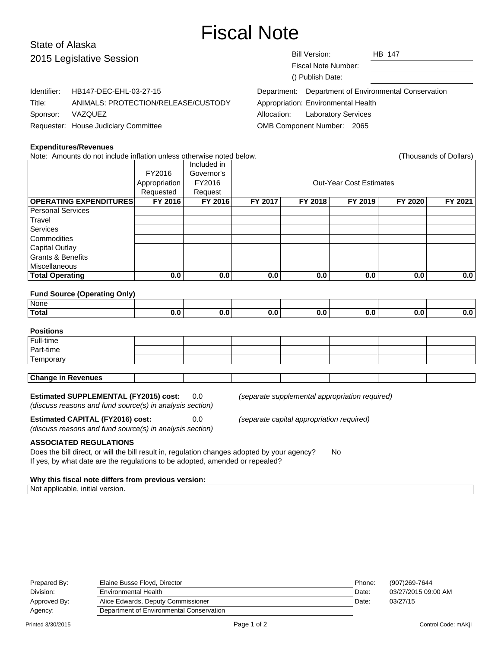# Fiscal Note

# State of Alaska 2015 Legisla

| 2015 Legislative Session |                                      | <b>Bill Version:</b><br><b>HB 147</b>                   |  |
|--------------------------|--------------------------------------|---------------------------------------------------------|--|
|                          |                                      | <b>Fiscal Note Number:</b>                              |  |
|                          |                                      | () Publish Date:                                        |  |
| Identifier:              | HB147-DEC-EHL-03-27-15               | Department of Environmental Conservation<br>Department: |  |
| Title:                   | ANIMALS: PROTECTION/RELEASE/CUSTODY  | Appropriation: Environmental Health                     |  |
| Sponsor:                 | VAZQUEZ                              | <b>Laboratory Services</b><br>Allocation:               |  |
|                          | Requester: House Judiciary Committee | OMB Component Number: 2065                              |  |

#### **Expenditures/Revenues**

| Note: Amounts do not include inflation unless otherwise noted below.<br>(Thousands of Dollars) |               |             |         |         |                                |         |         |
|------------------------------------------------------------------------------------------------|---------------|-------------|---------|---------|--------------------------------|---------|---------|
|                                                                                                |               | Included in |         |         |                                |         |         |
|                                                                                                | FY2016        | Governor's  |         |         |                                |         |         |
|                                                                                                | Appropriation | FY2016      |         |         | <b>Out-Year Cost Estimates</b> |         |         |
|                                                                                                | Requested     | Request     |         |         |                                |         |         |
| <b>OPERATING EXPENDITURES</b>                                                                  | FY 2016       | FY 2016     | FY 2017 | FY 2018 | FY 2019                        | FY 2020 | FY 2021 |
| <b>Personal Services</b>                                                                       |               |             |         |         |                                |         |         |
| Travel                                                                                         |               |             |         |         |                                |         |         |
| <b>Services</b>                                                                                |               |             |         |         |                                |         |         |
| Commodities                                                                                    |               |             |         |         |                                |         |         |
| <b>Capital Outlay</b>                                                                          |               |             |         |         |                                |         |         |
| <b>Grants &amp; Benefits</b>                                                                   |               |             |         |         |                                |         |         |
| <b>Miscellaneous</b>                                                                           |               |             |         |         |                                |         |         |
| <b>Total Operating</b>                                                                         | 0.0           | 0.0         | 0.0     | 0.0     | 0.0                            | 0.0     | 0.0     |
|                                                                                                |               |             |         |         |                                |         |         |
| <b>Fund Source (Operating Only)</b>                                                            |               |             |         |         |                                |         |         |
| None                                                                                           |               |             |         |         |                                |         |         |
| <b>Total</b>                                                                                   | 0.0           | 0.0         | 0.0     | 0.0     | 0.0                            | 0.0     | 0.0     |
|                                                                                                |               |             |         |         |                                |         |         |
| <b>Positions</b>                                                                               |               |             |         |         |                                |         |         |
|                                                                                                |               |             |         |         |                                |         |         |

| l Full-time               |  |  |  |  |
|---------------------------|--|--|--|--|
| Part-time                 |  |  |  |  |
| 'Temporary                |  |  |  |  |
|                           |  |  |  |  |
| <b>Change in Revenues</b> |  |  |  |  |

### **Estimated SUPPLEMENTAL (FY2015) cost:** 0.0 (separate supplemental appropriation required)

(discuss reasons and fund source(s) in analysis section)

**Estimated CAPITAL (FY2016) cost:** 0.0 (separate capital appropriation required)

(discuss reasons and fund source(s) in analysis section)

**ASSOCIATED REGULATIONS**

Does the bill direct, or will the bill result in, regulation changes adopted by your agency? No If yes, by what date are the regulations to be adopted, amended or repealed?

#### **Why this fiscal note differs from previous version:**

Not applicable, initial version.

| Prepared By: | Elaine Busse Floyd, Director             | Phone: | (907)269-7644       |
|--------------|------------------------------------------|--------|---------------------|
| Division:    | Environmental Health                     | Date:  | 03/27/2015 09:00 AM |
| Approved By: | Alice Edwards, Deputy Commissioner       | Date:  | 03/27/15            |
| Agency:      | Department of Environmental Conservation |        |                     |
|              |                                          |        |                     |